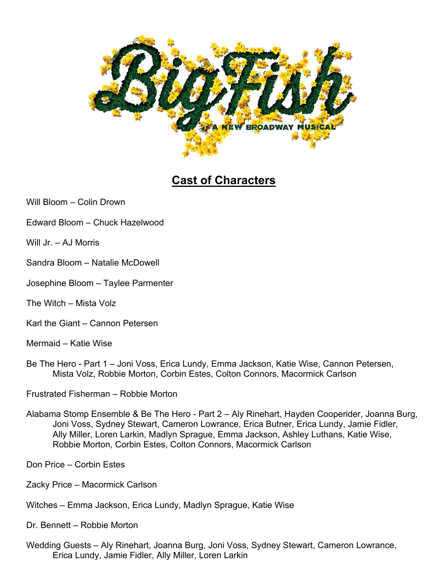

## **Cast of Characters**

Will Bloom – Colin Drown

- Edward Bloom Chuck Hazelwood
- Will Jr. AJ Morris
- Sandra Bloom Natalie McDowell
- Josephine Bloom Taylee Parmenter
- The Witch Mista Volz
- Karl the Giant Cannon Petersen
- Mermaid Katie Wise
- Be The Hero Part 1 Joni Voss, Erica Lundy, Emma Jackson, Katie Wise, Cannon Petersen, Mista Volz, Robbie Morton, Corbin Estes, Colton Connors, Macormick Carlson
- Frustrated Fisherman Robbie Morton
- Alabama Stomp Ensemble & Be The Hero Part 2 Aly Rinehart, Hayden Cooperider, Joanna Burg, Joni Voss, Sydney Stewart, Cameron Lowrance, Erica Butner, Erica Lundy, Jamie Fidler, Ally Miller, Loren Larkin, Madlyn Sprague, Emma Jackson, Ashley Luthans, Katie Wise, Robbie Morton, Corbin Estes, Colton Connors, Macormick Carlson
- Don Price Corbin Estes
- Zacky Price Macormick Carlson
- Witches Emma Jackson, Erica Lundy, Madlyn Sprague, Katie Wise
- Dr. Bennett Robbie Morton
- Wedding Guests Aly Rinehart, Joanna Burg, Joni Voss, Sydney Stewart, Cameron Lowrance, Erica Lundy, Jamie Fidler, Ally Miller, Loren Larkin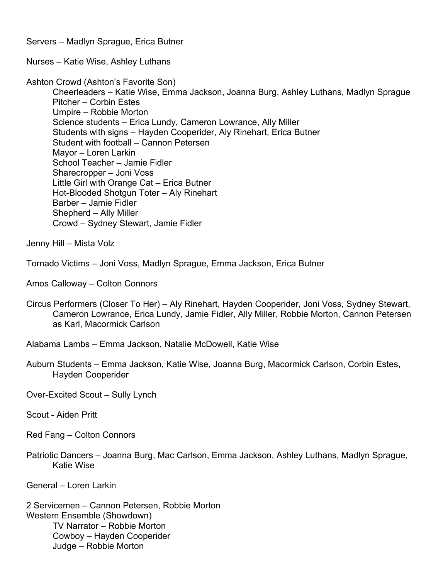Servers – Madlyn Sprague, Erica Butner

Nurses – Katie Wise, Ashley Luthans

Ashton Crowd (Ashton's Favorite Son)

 Cheerleaders – Katie Wise, Emma Jackson, Joanna Burg, Ashley Luthans, Madlyn Sprague Pitcher – Corbin Estes Umpire – Robbie Morton Science students – Erica Lundy, Cameron Lowrance, Ally Miller Students with signs – Hayden Cooperider, Aly Rinehart, Erica Butner Student with football – Cannon Petersen Mayor – Loren Larkin School Teacher – Jamie Fidler Sharecropper – Joni Voss Little Girl with Orange Cat – Erica Butner Hot-Blooded Shotgun Toter – Aly Rinehart Barber – Jamie Fidler Shepherd – Ally Miller Crowd – Sydney Stewart, Jamie Fidler

Jenny Hill – Mista Volz

Tornado Victims – Joni Voss, Madlyn Sprague, Emma Jackson, Erica Butner

Amos Calloway – Colton Connors

- Circus Performers (Closer To Her) Aly Rinehart, Hayden Cooperider, Joni Voss, Sydney Stewart, Cameron Lowrance, Erica Lundy, Jamie Fidler, Ally Miller, Robbie Morton, Cannon Petersen as Karl, Macormick Carlson
- Alabama Lambs Emma Jackson, Natalie McDowell, Katie Wise
- Auburn Students Emma Jackson, Katie Wise, Joanna Burg, Macormick Carlson, Corbin Estes, Hayden Cooperider

Over-Excited Scout – Sully Lynch

Scout - Aiden Pritt

Red Fang – Colton Connors

Patriotic Dancers – Joanna Burg, Mac Carlson, Emma Jackson, Ashley Luthans, Madlyn Sprague, Katie Wise

General – Loren Larkin

2 Servicemen – Cannon Petersen, Robbie Morton Western Ensemble (Showdown) TV Narrator – Robbie Morton Cowboy – Hayden Cooperider Judge – Robbie Morton